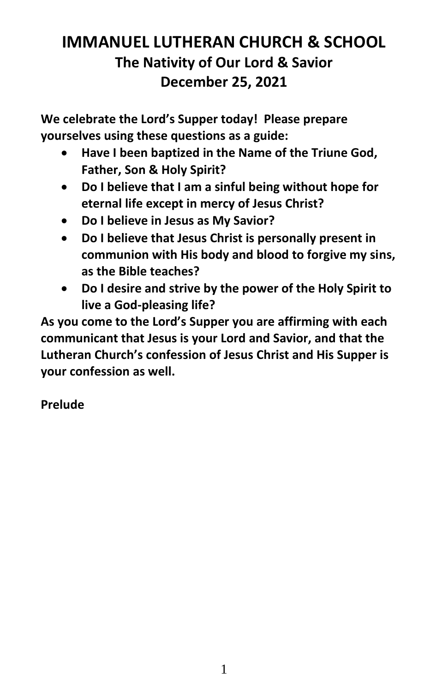# **IMMANUEL LUTHERAN CHURCH & SCHOOL The Nativity of Our Lord & Savior December 25, 2021**

**We celebrate the Lord's Supper today! Please prepare yourselves using these questions as a guide:**

- **Have I been baptized in the Name of the Triune God, Father, Son & Holy Spirit?**
- **Do I believe that I am a sinful being without hope for eternal life except in mercy of Jesus Christ?**
- **Do I believe in Jesus as My Savior?**
- **Do I believe that Jesus Christ is personally present in communion with His body and blood to forgive my sins, as the Bible teaches?**
- **Do I desire and strive by the power of the Holy Spirit to live a God-pleasing life?**

**As you come to the Lord's Supper you are affirming with each communicant that Jesus is your Lord and Savior, and that the Lutheran Church's confession of Jesus Christ and His Supper is your confession as well.**

# **Prelude**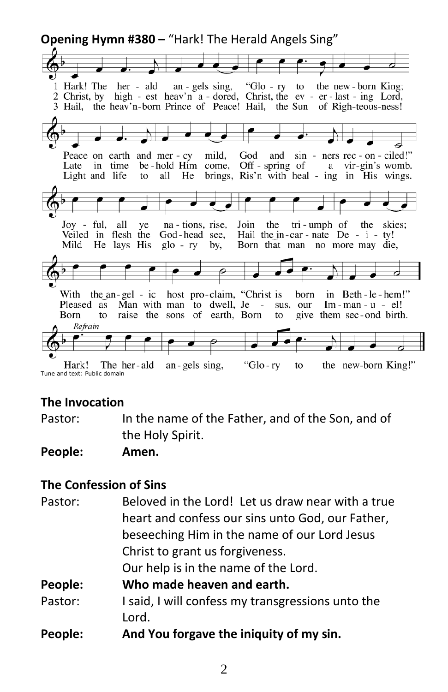

#### **The Invocation**

Pastor: In the name of the Father, and of the Son, and of the Holy Spirit.

#### **People: Amen.**

#### **The Confession of Sins**

| Pastor: | Beloved in the Lord! Let us draw near with a true |
|---------|---------------------------------------------------|
|         | heart and confess our sins unto God, our Father,  |
|         | beseeching Him in the name of our Lord Jesus      |
|         | Christ to grant us forgiveness.                   |
|         | Our help is in the name of the Lord.              |
| People: | Who made heaven and earth.                        |
| Pastor: | I said, I will confess my transgressions unto the |
|         | Lord.                                             |
| People: | And You forgave the iniquity of my sin.           |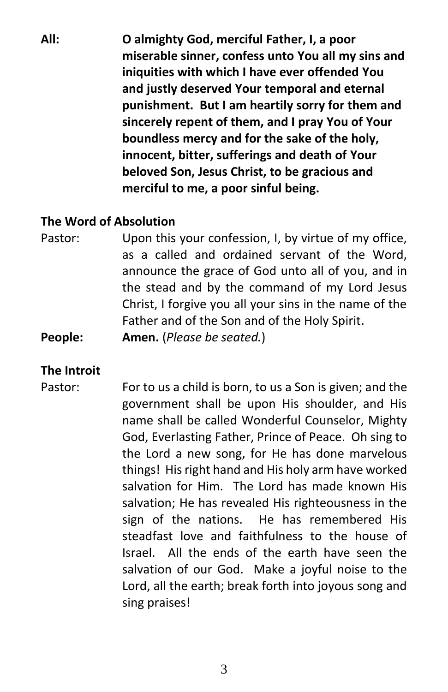**All: O almighty God, merciful Father, I, a poor miserable sinner, confess unto You all my sins and iniquities with which I have ever offended You and justly deserved Your temporal and eternal punishment. But I am heartily sorry for them and sincerely repent of them, and I pray You of Your boundless mercy and for the sake of the holy, innocent, bitter, sufferings and death of Your beloved Son, Jesus Christ, to be gracious and merciful to me, a poor sinful being.**

#### **The Word of Absolution**

Pastor: Upon this your confession, I, by virtue of my office, as a called and ordained servant of the Word, announce the grace of God unto all of you, and in the stead and by the command of my Lord Jesus Christ, I forgive you all your sins in the name of the Father and of the Son and of the Holy Spirit.

**People: Amen.** (*Please be seated.*)

#### **The Introit**

Pastor: For to us a child is born, to us a Son is given; and the government shall be upon His shoulder, and His name shall be called Wonderful Counselor, Mighty God, Everlasting Father, Prince of Peace. Oh sing to the Lord a new song, for He has done marvelous things! His right hand and His holy arm have worked salvation for Him. The Lord has made known His salvation; He has revealed His righteousness in the sign of the nations. He has remembered His steadfast love and faithfulness to the house of Israel. All the ends of the earth have seen the salvation of our God. Make a joyful noise to the Lord, all the earth; break forth into joyous song and sing praises!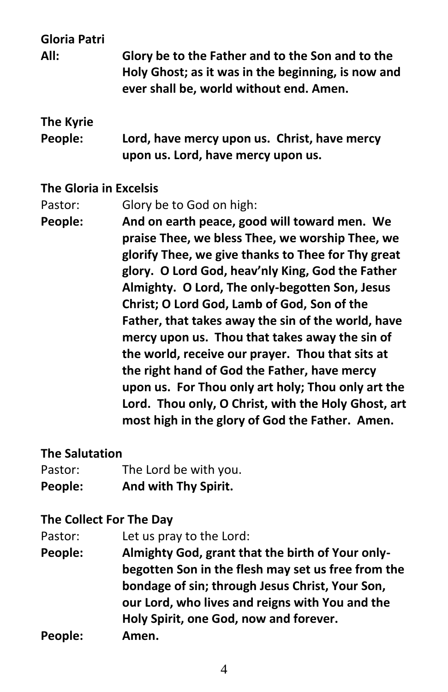**Gloria Patri**

**All: Glory be to the Father and to the Son and to the Holy Ghost; as it was in the beginning, is now and ever shall be, world without end. Amen.**

# **The Kyrie**

**People: Lord, have mercy upon us. Christ, have mercy upon us. Lord, have mercy upon us.**

#### **The Gloria in Excelsis**

Pastor: Glory be to God on high:

**People: And on earth peace, good will toward men. We praise Thee, we bless Thee, we worship Thee, we glorify Thee, we give thanks to Thee for Thy great glory. O Lord God, heav'nly King, God the Father Almighty. O Lord, The only-begotten Son, Jesus Christ; O Lord God, Lamb of God, Son of the Father, that takes away the sin of the world, have mercy upon us. Thou that takes away the sin of the world, receive our prayer. Thou that sits at the right hand of God the Father, have mercy upon us. For Thou only art holy; Thou only art the Lord. Thou only, O Christ, with the Holy Ghost, art most high in the glory of God the Father. Amen.**

#### **The Salutation**

| People: | And with Thy Spirit.  |
|---------|-----------------------|
| Pastor: | The Lord be with you. |

#### **The Collect For The Day**

Pastor: Let us pray to the Lord:

- **People: Almighty God, grant that the birth of Your onlybegotten Son in the flesh may set us free from the bondage of sin; through Jesus Christ, Your Son, our Lord, who lives and reigns with You and the Holy Spirit, one God, now and forever.**
- **People: Amen.**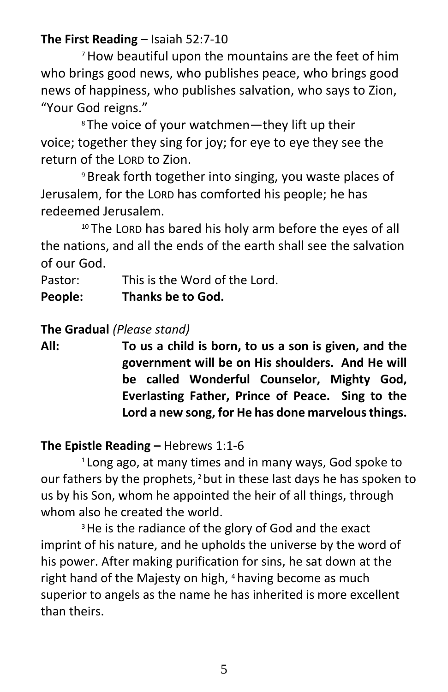## **The First Reading** – Isaiah 52:7-10

<sup>7</sup>How beautiful upon the mountains are the feet of him who brings good news, who publishes peace, who brings good news of happiness, who publishes salvation, who says to Zion, "Your God reigns."

<sup>8</sup> The voice of your watchmen—they lift up their voice; together they sing for joy; for eye to eye they see the return of the LORD to Zion.

<sup>9</sup> Break forth together into singing, you waste places of Jerusalem, for the LORD has comforted his people; he has redeemed Jerusalem.

<sup>10</sup> The LORD has bared his holy arm before the eyes of all the nations, and all the ends of the earth shall see the salvation of our God.

Pastor: This is the Word of the Lord. **People: Thanks be to God.**

## **The Gradual** *(Please stand)*

**All: To us a child is born, to us a son is given, and the government will be on His shoulders. And He will be called Wonderful Counselor, Mighty God, Everlasting Father, Prince of Peace. Sing to the Lord a new song, for He has done marvelous things.**

## **The Epistle Reading –** Hebrews 1:1-6

<sup>1</sup> Long ago, at many times and in many ways, God spoke to our fathers by the prophets,  $2$  but in these last days he has spoken to us by his Son, whom he appointed the heir of all things, through whom also he created the world.

<sup>3</sup> He is the radiance of the glory of God and the exact imprint of his nature, and he upholds the universe by the word of his power. After making purification for sins, he sat down at the right hand of the Majesty on high, <sup>4</sup> having become as much superior to angels as the name he has inherited is more excellent than theirs.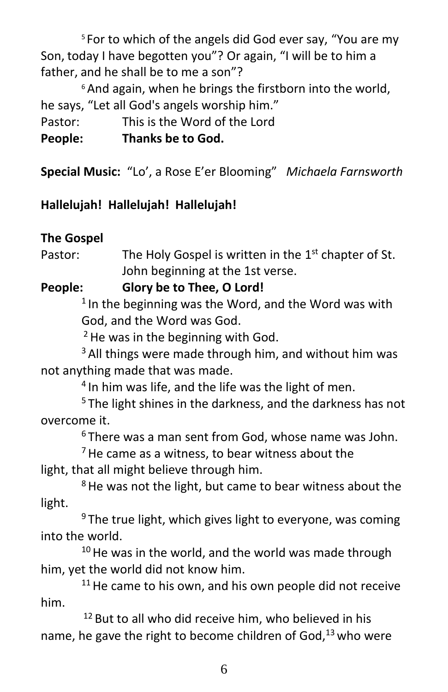<sup>5</sup> For to which of the angels did God ever say, "You are my Son, today I have begotten you"? Or again, "I will be to him a father, and he shall be to me a son"?

<sup>6</sup> And again, when he brings the firstborn into the world, he says, "Let all God's angels worship him." Pastor: This is the Word of the Lord **People: Thanks be to God.**

**Special Music:** "Lo', a Rose E'er Blooming" *Michaela Farnsworth*

# **Hallelujah! Hallelujah! Hallelujah!**

# **The Gospel**

Pastor: The Holy Gospel is written in the  $1<sup>st</sup>$  chapter of St. John beginning at the 1st verse.

**People: Glory be to Thee, O Lord!**

 $1$ In the beginning was the Word, and the Word was with God, and the Word was God.

 $2$  He was in the beginning with God.

<sup>3</sup> All things were made through him, and without him was not anything made that was made.

<sup>4</sup> In him was life, and the life was the light of men.

<sup>5</sup> The light shines in the darkness, and the darkness has not overcome it.

<sup>6</sup> There was a man sent from God, whose name was John.

 $<sup>7</sup>$  He came as a witness, to bear witness about the</sup> light, that all might believe through him.

<sup>8</sup> He was not the light, but came to bear witness about the light.

 $9$  The true light, which gives light to everyone, was coming into the world.

 $10$  He was in the world, and the world was made through him, yet the world did not know him.

 $11$  He came to his own, and his own people did not receive him.

 $12$  But to all who did receive him, who believed in his name, he gave the right to become children of God, $13$  who were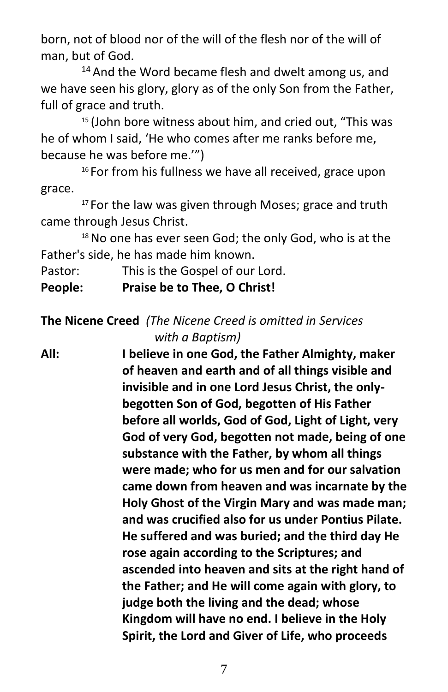born, not of blood nor of the will of the flesh nor of the will of man, but of God.

<sup>14</sup> And the Word became flesh and dwelt among us, and we have seen his glory, glory as of the only Son from the Father, full of grace and truth.

<sup>15</sup> (John bore witness about him, and cried out, "This was he of whom I said, 'He who comes after me ranks before me, because he was before me.'")

<sup>16</sup> For from his fullness we have all received, grace upon grace.

<sup>17</sup> For the law was given through Moses; grace and truth came through Jesus Christ.

<sup>18</sup> No one has ever seen God; the only God, who is at the Father's side, he has made him known.

Pastor: This is the Gospel of our Lord.

**People: Praise be to Thee, O Christ!**

## **The Nicene Creed** *(The Nicene Creed is omitted in Services with a Baptism)*

**All: I believe in one God, the Father Almighty, maker of heaven and earth and of all things visible and invisible and in one Lord Jesus Christ, the onlybegotten Son of God, begotten of His Father before all worlds, God of God, Light of Light, very God of very God, begotten not made, being of one substance with the Father, by whom all things were made; who for us men and for our salvation came down from heaven and was incarnate by the Holy Ghost of the Virgin Mary and was made man; and was crucified also for us under Pontius Pilate. He suffered and was buried; and the third day He rose again according to the Scriptures; and ascended into heaven and sits at the right hand of the Father; and He will come again with glory, to judge both the living and the dead; whose Kingdom will have no end. I believe in the Holy Spirit, the Lord and Giver of Life, who proceeds**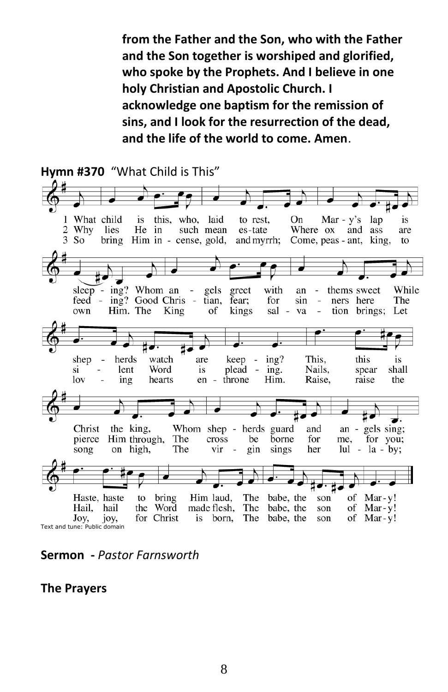**from the Father and the Son, who with the Father and the Son together is worshiped and glorified, who spoke by the Prophets. And I believe in one holy Christian and Apostolic Church. I acknowledge one baptism for the remission of sins, and I look for the resurrection of the dead, and the life of the world to come. Amen**.



**Sermon -** *Pastor Farnsworth*

**The Prayers**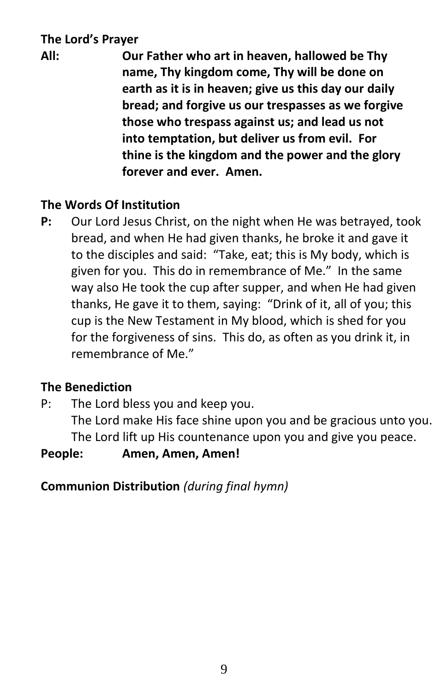# **The Lord's Prayer**

**All: Our Father who art in heaven, hallowed be Thy name, Thy kingdom come, Thy will be done on earth as it is in heaven; give us this day our daily bread; and forgive us our trespasses as we forgive those who trespass against us; and lead us not into temptation, but deliver us from evil. For thine is the kingdom and the power and the glory forever and ever. Amen.**

## **The Words Of Institution**

**P:** Our Lord Jesus Christ, on the night when He was betrayed, took bread, and when He had given thanks, he broke it and gave it to the disciples and said: "Take, eat; this is My body, which is given for you. This do in remembrance of Me." In the same way also He took the cup after supper, and when He had given thanks, He gave it to them, saying: "Drink of it, all of you; this cup is the New Testament in My blood, which is shed for you for the forgiveness of sins. This do, as often as you drink it, in remembrance of Me."

# **The Benediction**

P: The Lord bless you and keep you.

The Lord make His face shine upon you and be gracious unto you. The Lord lift up His countenance upon you and give you peace.

#### **People: Amen, Amen, Amen!**

**Communion Distribution** *(during final hymn)*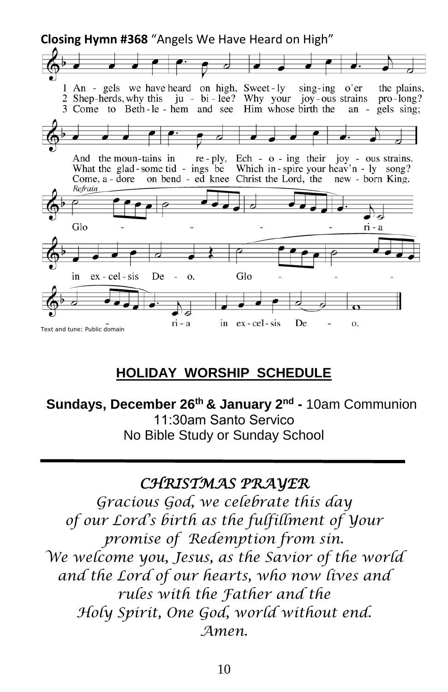**Closing Hymn #368** "Angels We Have Heard on High"

1 An - gels we have heard on high, Sweet-ly sing-ing o'er the plains, 2 Shep-herds, why this ju - bi-lee? Why your joy-ous strains pro-long? 3 Come to Beth-le-hem and see Him whose birth the an - gels sing; And the moun-tains in re - ply, Ech -  $o$  - ing their joy - ous strains. What the glad-some tid - ings be Which in-spire your heav'n -  $ly$  song? new - born King. Come, a - dore on bend - ed knee Christ the Lord, the Refrain Glo ri - a Glo ex - cel - sis De in 0. ex - cel - sis De ri - a in 0. Text and tune: Public domain

# **HOLIDAY WORSHIP SCHEDULE**

**Sundays, December 26 th & January 2 nd -** 10am Communion 11:30am Santo Servico No Bible Study or Sunday School

# *CHRISTMAS PRAYER*

*Gracious God, we celebrate this day of our Lord's birth as the fulfillment of Your promise of Redemption from sin. We welcome you, Jesus, as the Savior of the world and the Lord of our hearts, who now lives and rules with the Father and the Holy Spirit, One God, world without end. Amen.*